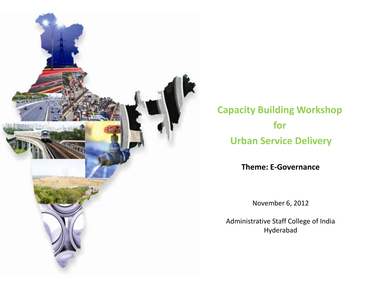

**Capacity Building Workshop for Urban Service Delivery**

**Theme: E-Governance**

November 6, 2012

Administrative Staff College of India Hyderabad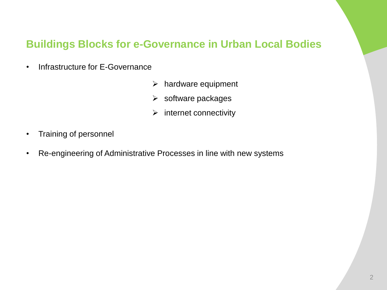# **Buildings Blocks for e-Governance in Urban Local Bodies**

- Infrastructure for E-Governance
	- $\triangleright$  hardware equipment
	- $\triangleright$  software packages
	- $\triangleright$  internet connectivity

- Training of personnel
- Re-engineering of Administrative Processes in line with new systems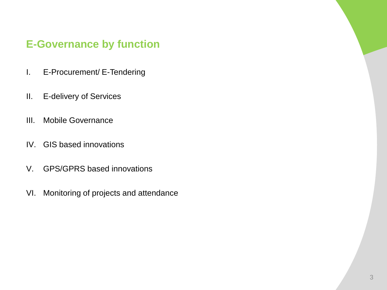# **E-Governance by function**

- I. E-Procurement/ E-Tendering
- II. E-delivery of Services
- III. Mobile Governance
- IV. GIS based innovations
- V. GPS/GPRS based innovations
- VI. Monitoring of projects and attendance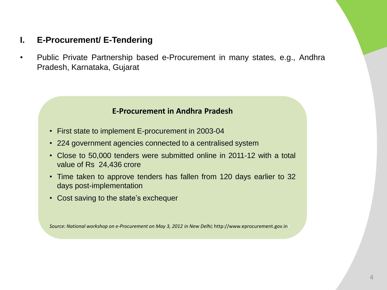# **I. E-Procurement/ E-Tendering**

• Public Private Partnership based e-Procurement in many states, e.g., Andhra Pradesh, Karnataka, Gujarat

#### **E-Procurement in Andhra Pradesh**

- First state to implement E-procurement in 2003-04
- 224 government agencies connected to a centralised system
- Close to 50,000 tenders were submitted online in 2011-12 with a total value of Rs 24,436 crore
- Time taken to approve tenders has fallen from 120 days earlier to 32 days post-implementation
- Cost saving to the state's exchequer

*Source: National workshop on e-Procurement on May 3, 2012 in New Delhi;* http://www.eprocurement.gov.in/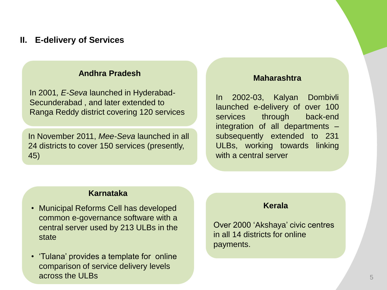#### **II. E-delivery of Services**

#### **Andhra Pradesh**

In 2001*, E-Seva* launched in Hyderabad-Secunderabad , and later extended to Ranga Reddy district covering 120 services

In November 2011, *Mee-Seva* launched in all 24 districts to cover 150 services (presently, 45)

#### **Maharashtra**

In 2002-03, Kalyan Dombivli launched e-delivery of over 100 services through back-end integration of all departments – subsequently extended to 231 ULBs, working towards linking with a central server

#### **Karnataka**

- Municipal Reforms Cell has developed common e-governance software with a central server used by 213 ULBs in the state
- 'Tulana' provides a template for online comparison of service delivery levels across the ULBs

#### **Kerala**

Over 2000 'Akshaya' civic centres in all 14 districts for online payments.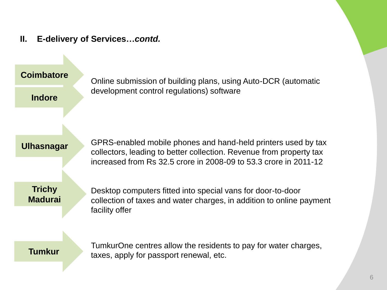**II. E-delivery of Services…***contd.*

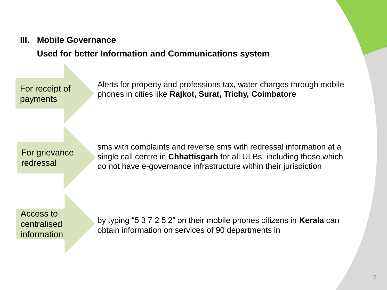#### **III. Mobile Governance**

# **Used for better Information and Communications system**

For receipt of payments

Alerts for property and professions tax, water charges through mobile phones in cities like **Rajkot, Surat, Trichy, Coimbatore**

For grievance redressal

sms with complaints and reverse sms with redressal information at a single call centre in **Chhattisgarh** for all ULBs, including those which do not have e-governance infrastructure within their jurisdiction

Access to centralised information

by typing "5 3 7 2 5 2" on their mobile phones citizens in **Kerala** can obtain information on services of 90 departments in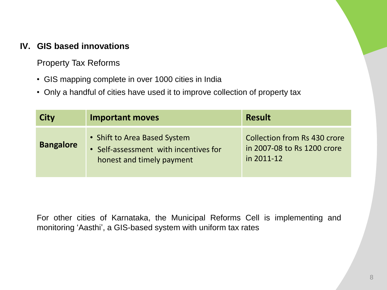# **IV. GIS based innovations**

Property Tax Reforms

- GIS mapping complete in over 1000 cities in India
- Only a handful of cities have used it to improve collection of property tax

| <b>City</b>      | <b>Important moves</b>                                                                             | <b>Result</b>                                                                    |
|------------------|----------------------------------------------------------------------------------------------------|----------------------------------------------------------------------------------|
| <b>Bangalore</b> | • Shift to Area Based System<br>• Self-assessment with incentives for<br>honest and timely payment | <b>Collection from Rs 430 crore</b><br>in 2007-08 to Rs 1200 crore<br>in 2011-12 |

For other cities of Karnataka, the Municipal Reforms Cell is implementing and monitoring 'Aasthi', a GIS-based system with uniform tax rates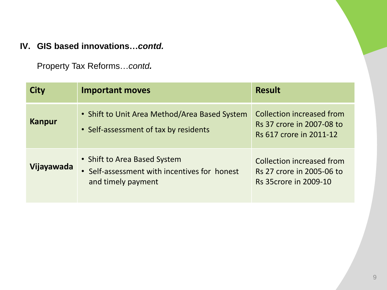# **IV. GIS based innovations…***contd.*

Property Tax Reforms…*contd.*

| City          | <b>Important moves</b>                                                                             | <b>Result</b>                                                                          |
|---------------|----------------------------------------------------------------------------------------------------|----------------------------------------------------------------------------------------|
| <b>Kanpur</b> | • Shift to Unit Area Method/Area Based System<br>• Self-assessment of tax by residents             | Collection increased from<br>Rs 37 crore in 2007-08 to<br>Rs 617 crore in 2011-12      |
| Vijayawada    | • Shift to Area Based System<br>• Self-assessment with incentives for honest<br>and timely payment | Collection increased from<br>Rs 27 crore in 2005-06 to<br><b>Rs 35crore in 2009-10</b> |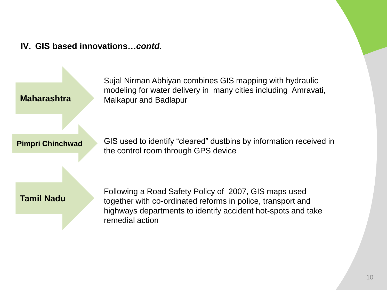## **IV. GIS based innovations…***contd.*

Sujal Nirman Abhiyan combines GIS mapping with hydraulic modeling for water delivery in many cities including Amravati, Malkapur and Badlapur

**Pimpri Chinchwad**

**Maharashtra**

GIS used to identify "cleared" dustbins by information received in the control room through GPS device

**Tamil Nadu**

Following a Road Safety Policy of 2007, GIS maps used together with co-ordinated reforms in police, transport and highways departments to identify accident hot-spots and take remedial action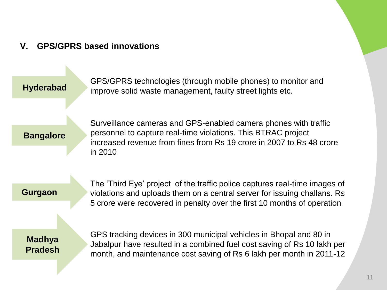# **V. GPS/GPRS based innovations**

**Hyderabad**

GPS/GPRS technologies (through mobile phones) to monitor and improve solid waste management, faulty street lights etc.

**Bangalore**

Surveillance cameras and GPS-enabled camera phones with traffic personnel to capture real-time violations. This BTRAC project increased revenue from fines from Rs 19 crore in 2007 to Rs 48 crore in 2010

 **Gurgaon**

The 'Third Eye' project of the traffic police captures real-time images of violations and uploads them on a central server for issuing challans. Rs 5 crore were recovered in penalty over the first 10 months of operation

**Madhya Pradesh** GPS tracking devices in 300 municipal vehicles in Bhopal and 80 in Jabalpur have resulted in a combined fuel cost saving of Rs 10 lakh per month, and maintenance cost saving of Rs 6 lakh per month in 2011-12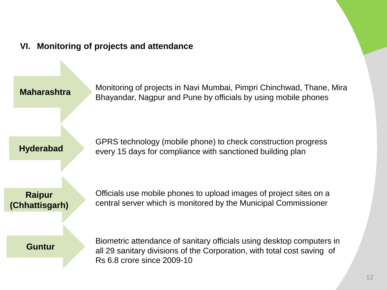## **VI. Monitoring of projects and attendance**

**Maharashtra**

Monitoring of projects in Navi Mumbai, Pimpri Chinchwad, Thane, Mira Bhayandar, Nagpur and Pune by officials by using mobile phones

**Hyderabad**

GPRS technology (mobile phone) to check construction progress every 15 days for compliance with sanctioned building plan

**Raipur (Chhattisgarh)** Officials use mobile phones to upload images of project sites on a central server which is monitored by the Municipal Commissioner

#### **Guntur**

Biometric attendance of sanitary officials using desktop computers in all 29 sanitary divisions of the Corporation, with total cost saving of Rs 6.8 crore since 2009-10